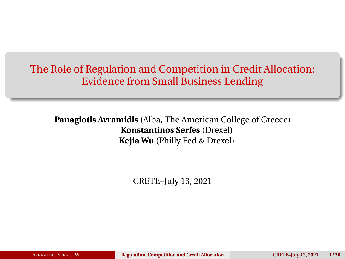<span id="page-0-0"></span>The Role of Regulation and Competition in Credit Allocation: Evidence from Small Business Lending

**Panagiotis Avramidis** (Alba, The American College of Greece) **Konstantinos Serfes** (Drexel) **Kejia Wu** (Philly Fed & Drexel)

CRETE–July 13, 2021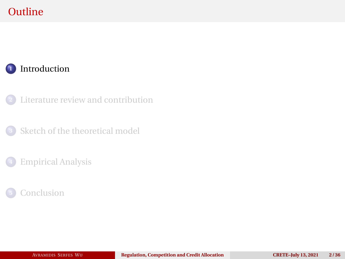# <span id="page-1-0"></span>**Outline**

### [Introduction](#page-1-0)

[Literature review and contribution](#page-8-0)

[Sketch of the theoretical model](#page-11-0)

#### [Empirical Analysis](#page-25-0)

### [Conclusion](#page-33-0)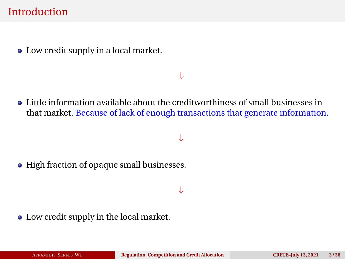### **Introduction**

• Low credit supply in a local market.

#### ⇓

Little information available about the creditworthiness of small businesses in that market. Because of lack of enough transactions that generate information.

#### ⇓

• High fraction of opaque small businesses.

#### ⇓

Low credit supply in the local market.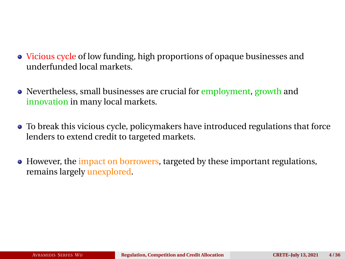- Vicious cycle of low funding, high proportions of opaque businesses and underfunded local markets.
- Nevertheless, small businesses are crucial for employment, growth and innovation in many local markets.
- To break this vicious cycle, policymakers have introduced regulations that force lenders to extend credit to targeted markets.
- However, the impact on borrowers, targeted by these important regulations, remains largely unexplored.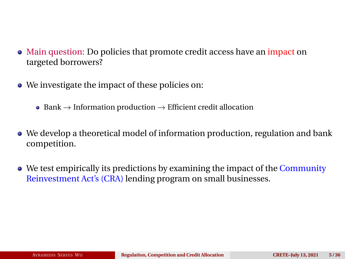- Main question: Do policies that promote credit access have an impact on targeted borrowers?
- We investigate the impact of these policies on:
	- Bank  $\rightarrow$  Information production  $\rightarrow$  Efficient credit allocation
- We develop a theoretical model of information production, regulation and bank competition.
- We test empirically its predictions by examining the impact of the Community Reinvestment Act's (CRA) lending program on small businesses.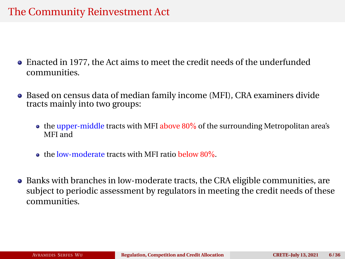## The Community Reinvestment Act

- Enacted in 1977, the Act aims to meet the credit needs of the underfunded communities.
- Based on census data of median family income (MFI), CRA examiners divide tracts mainly into two groups:
	- $\bullet$  the upper-middle tracts with MFI above 80% of the surrounding Metropolitan area's MFI and
	- **the low-moderate tracts with MFI ratio below 80%.**
- Banks with branches in low-moderate tracts, the CRA eligible communities, are subject to periodic assessment by regulators in meeting the credit needs of these communities.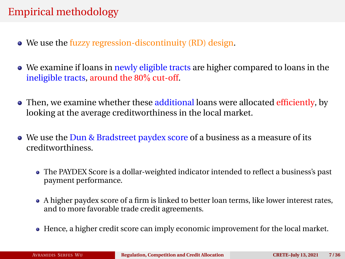# Empirical methodology

- We use the fuzzy regression-discontinuity (RD) design.
- We examine if loans in newly eligible tracts are higher compared to loans in the ineligible tracts, around the 80% cut-off.
- Then, we examine whether these additional loans were allocated efficiently, by looking at the average creditworthiness in the local market.
- We use the Dun & Bradstreet paydex score of a business as a measure of its creditworthiness.
	- The PAYDEX Score is a dollar-weighted indicator intended to reflect a business's past payment performance.
	- A higher paydex score of a firm is linked to better loan terms, like lower interest rates, and to more favorable trade credit agreements.
	- Hence, a higher credit score can imply economic improvement for the local market.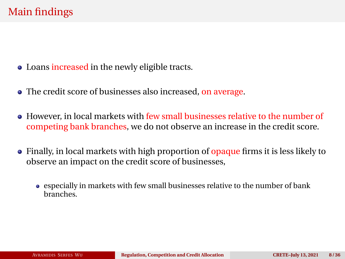- Loans increased in the newly eligible tracts.
- The credit score of businesses also increased, on average.
- However, in local markets with few small businesses relative to the number of competing bank branches, we do not observe an increase in the credit score.
- Finally, in local markets with high proportion of opaque firms it is less likely to observe an impact on the credit score of businesses,
	- especially in markets with few small businesses relative to the number of bank branches.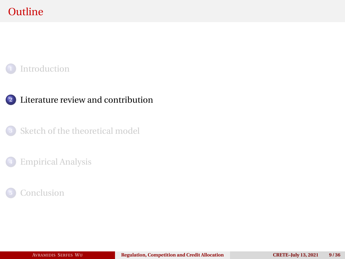# <span id="page-8-0"></span>**Outline**

#### [Introduction](#page-1-0)

#### [Literature review and contribution](#page-8-0)

[Sketch of the theoretical model](#page-11-0)

#### [Empirical Analysis](#page-25-0)

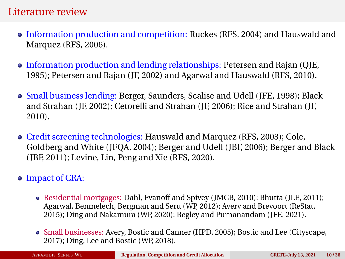#### Literature review

- Information production and competition: Ruckes (RFS, 2004) and Hauswald and Marquez (RFS, 2006).
- Information production and lending relationships: Petersen and Rajan (QJE, 1995); Petersen and Rajan (JF, 2002) and Agarwal and Hauswald (RFS, 2010).
- Small business lending: Berger, Saunders, Scalise and Udell (JFE, 1998); Black and Strahan (JF, 2002); Cetorelli and Strahan (JF, 2006); Rice and Strahan (JF, 2010).
- Credit screening technologies: Hauswald and Marquez (RFS, 2003); Cole, Goldberg and White (JFQA, 2004); Berger and Udell (JBF, 2006); Berger and Black (JBF, 2011); Levine, Lin, Peng and Xie (RFS, 2020).

#### • Impact of CRA:

- Residential mortgages: Dahl, Evanoff and Spivey (JMCB, 2010); Bhutta (JLE, 2011); Agarwal, Benmelech, Bergman and Seru (WP, 2012); Avery and Brevoort (ReStat, 2015); Ding and Nakamura (WP, 2020); Begley and Purnanandam (JFE, 2021).
- Small businesses: Avery, Bostic and Canner (HPD, 2005); Bostic and Lee (Cityscape, 2017); Ding, Lee and Bostic (WP, 2018).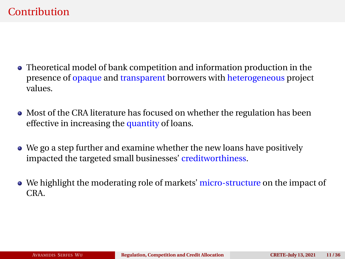## **Contribution**

- Theoretical model of bank competition and information production in the presence of opaque and transparent borrowers with heterogeneous project values.
- Most of the CRA literature has focused on whether the regulation has been effective in increasing the quantity of loans.
- We go a step further and examine whether the new loans have positively impacted the targeted small businesses' creditworthiness.
- We highlight the moderating role of markets' micro-structure on the impact of CRA.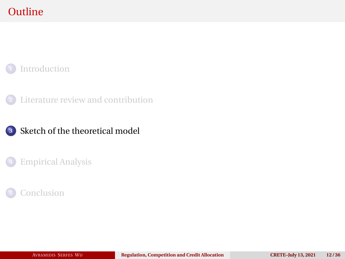# <span id="page-11-0"></span>**Outline**

#### [Introduction](#page-1-0)

[Literature review and contribution](#page-8-0)

#### [Sketch of the theoretical model](#page-11-0)

#### [Empirical Analysis](#page-25-0)

### [Conclusion](#page-33-0)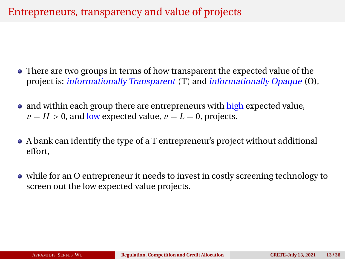## Entrepreneurs, transparency and value of projects

- There are two groups in terms of how transparent the expected value of the project is: *informationally Transparent* (T) and *informationally Opaque* (O),
- and within each group there are entrepreneurs with high expected value,  $\nu = H > 0$ , and low expected value,  $\nu = L = 0$ , projects.
- A bank can identify the type of a T entrepreneur's project without additional effort,
- while for an O entrepreneur it needs to invest in costly screening technology to screen out the low expected value projects.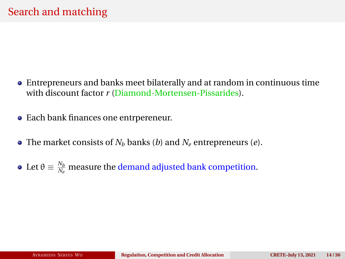- Entrepreneurs and banks meet bilaterally and at random in continuous time with discount factor *r* (Diamond-Mortensen-Pissarides).
- Each bank finances one entrpereneur.
- The market consists of  $N<sub>b</sub>$  banks (*b*) and  $N<sub>e</sub>$  entrepreneurs (*e*).
- Let  $\theta \equiv \frac{N_b}{N_e}$  measure the demand adjusted bank competition.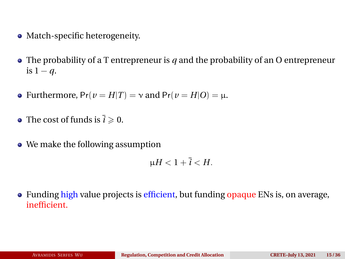- Match-specific heterogeneity.
- The probability of a T entrepreneur is *q* and the probability of an O entrepreneur is  $1 - q$ .
- Furthermore,  $Pr(v = H|T) = v$  and  $Pr(v = H|O) = \mu$ .
- The cost of funds is  $\bar{i} \ge 0$ .
- We make the following assumption

$$
\mu H < 1 + \overline{i} < H.
$$

• Funding high value projects is efficient, but funding opaque ENs is, on average, inefficient.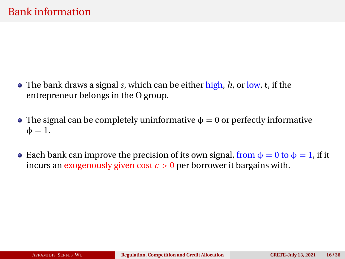- The bank draws a signal *s*, which can be either high,  $h$ , or low,  $\ell$ , if the entrepreneur belongs in the O group.
- The signal can be completely uninformative  $\phi = 0$  or perfectly informative  $\Phi = 1$ .
- Each bank can improve the precision of its own signal, from  $\phi = 0$  to  $\phi = 1$ , if it incurs an exogenously given cost  $c > 0$  per borrower it bargains with.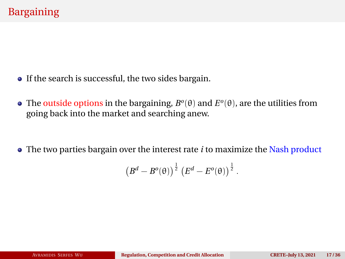- If the search is successful, the two sides bargain.
- The outside options in the bargaining,  $B^o(\theta)$  and  $E^o(\theta)$ , are the utilities from going back into the market and searching anew.

The two parties bargain over the interest rate *i* to maximize the Nash product

$$
\left(B^d-B^o(\theta)\right)^{\frac{1}{2}}\left(E^d-E^o(\theta)\right)^{\frac{1}{2}}.
$$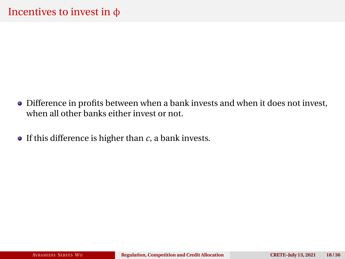- Difference in profits between when a bank invests and when it does not invest, when all other banks either invest or not.
- $\bullet$  If this difference is higher than *c*, a bank invests.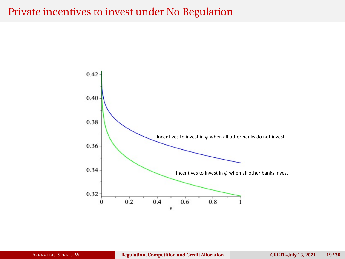### Private incentives to invest under No Regulation

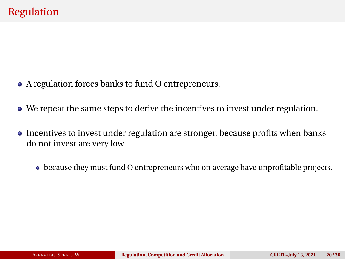- A regulation forces banks to fund O entrepreneurs.
- We repeat the same steps to derive the incentives to invest under regulation.
- Incentives to invest under regulation are stronger, because profits when banks do not invest are very low
	- because they must fund O entrepreneurs who on average have unprofitable projects.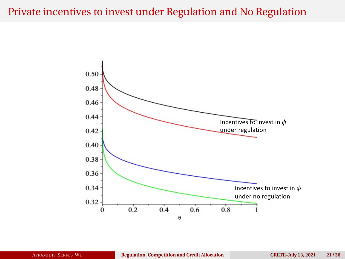## Private incentives to invest under Regulation and No Regulation

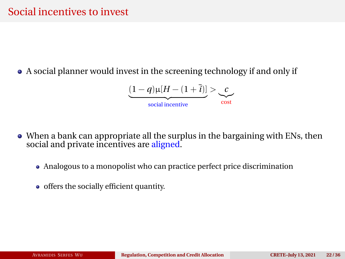A social planner would invest in the screening technology if and only if

$$
\underbrace{(1-q)\mu[H-(1+\overline{i})]}_{\text{social incentive}} > \underbrace{c}_{\text{cost}}
$$

- When a bank can appropriate all the surplus in the bargaining with ENs, then social and private incentives are aligned.
	- Analogous to a monopolist who can practice perfect price discrimination
	- offers the socially efficient quantity.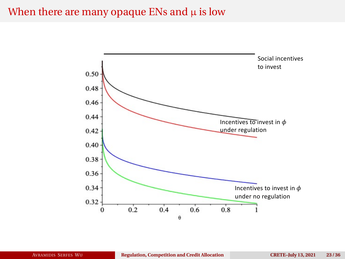### When there are many opaque ENs and  $\mu$  is low

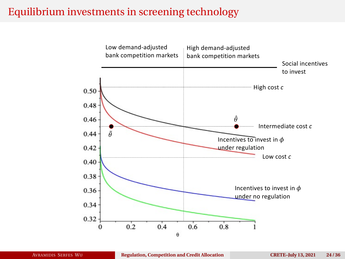## Equilibrium investments in screening technology

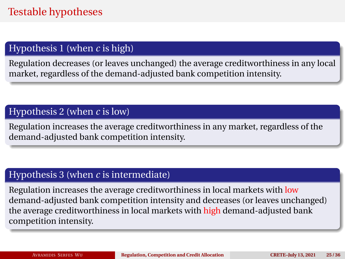### Hypothesis 1 (when *c* is high)

Regulation decreases (or leaves unchanged) the average creditworthiness in any local market, regardless of the demand-adjusted bank competition intensity.

#### Hypothesis 2 (when *c* is low)

Regulation increases the average creditworthiness in any market, regardless of the demand-adjusted bank competition intensity.

#### Hypothesis 3 (when *c* is intermediate)

Regulation increases the average creditworthiness in local markets with low demand-adjusted bank competition intensity and decreases (or leaves unchanged) the average creditworthiness in local markets with high demand-adjusted bank competition intensity.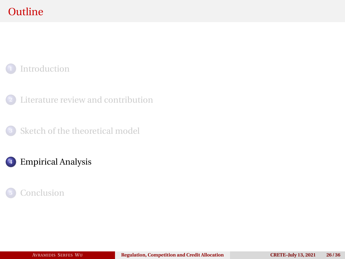# <span id="page-25-0"></span>**Outline**

### [Introduction](#page-1-0)

[Literature review and contribution](#page-8-0)

[Sketch of the theoretical model](#page-11-0)

## [Empirical Analysis](#page-25-0)

### [Conclusion](#page-33-0)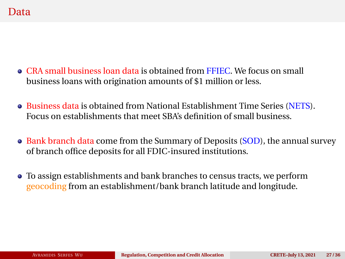- CRA small business loan data is obtained from FFIEC. We focus on small business loans with origination amounts of \$1 million or less.
- Business data is obtained from National Establishment Time Series (NETS). Focus on establishments that meet SBA's definition of small business.
- Bank branch data come from the Summary of Deposits (SOD), the annual survey of branch office deposits for all FDIC-insured institutions.
- To assign establishments and bank branches to census tracts, we perform geocoding from an establishment/bank branch latitude and longitude.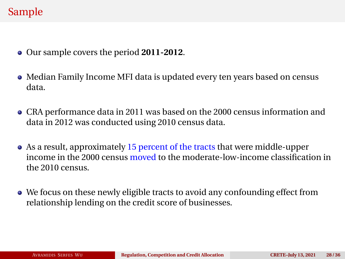# Sample

- Our sample covers the period **2011-2012**.
- Median Family Income MFI data is updated every ten years based on census data.
- CRA performance data in 2011 was based on the 2000 census information and data in 2012 was conducted using 2010 census data.
- As a result, approximately 15 percent of the tracts that were middle-upper income in the 2000 census moved to the moderate-low-income classification in the 2010 census.
- We focus on these newly eligible tracts to avoid any confounding effect from relationship lending on the credit score of businesses.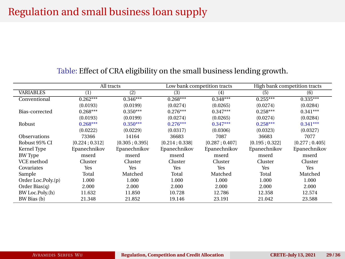# Regulation and small business loan supply

|                     | All tracts          |               | Low bank competition tracts |                | High bank competition tracts |               |
|---------------------|---------------------|---------------|-----------------------------|----------------|------------------------------|---------------|
| <b>VARIABLES</b>    | $\scriptstyle{(1)}$ | (2)           | (3)                         | (4)            | (5)                          | (6)           |
| Conventional        | $0.262***$          | $0.346***$    | $0.268***$                  | $0.348***$     | $0.255***$                   | $0.335***$    |
|                     | (0.0193)            | (0.0199)      | (0.0274)                    | (0.0265)       | (0.0274)                     | (0.0284)      |
| Bias-corrected      | $0.268***$          | $0.350***$    | $0.276***$                  | $0.347***$     | $0.258***$                   | $0.341***$    |
|                     | (0.0193)            | (0.0199)      | (0.0274)                    | (0.0265)       | (0.0274)                     | (0.0284)      |
| Robust              | $0.268***$          | $0.350***$    | $0.276***$                  | $0.347***$     | $0.258***$                   | $0.341***$    |
|                     | (0.0222)            | (0.0229)      | (0.0317)                    | (0.0306)       | (0.0323)                     | (0.0327)      |
| <b>Observations</b> | 73366               | 14164         | 36683                       | 7087           | 36683                        | 7077          |
| Robust 95% CI       | [0.224:0.312]       | [0.305:0.395] | [0.214; 0.338]              | [0.287; 0.407] | [0.195:0.322]                | [0.277:0.405] |
| Kernel Type         | Epanechnikov        | Epanechnikov  | Epanechnikov                | Epanechnikov   | Epanechnikov                 | Epanechnikov  |
| <b>BW</b> Type      | mserd               | mserd         | mserd                       | mserd          | mserd                        | mserd         |
| VCE method          | Cluster             | Cluster       | Cluster                     | Cluster        | Cluster                      | Cluster       |
| Covariates          | Yes                 | Yes           | Yes                         | Yes            | Yes                          | Yes           |
| Sample              | Total               | Matched       | Total                       | Matched        | Total                        | Matched       |
| Order Loc.Poly.(p)  | 1.000               | 1.000         | 1.000                       | 1.000          | 1.000                        | 1.000         |
| Order Bias $(q)$    | 2.000               | 2.000         | 2.000                       | 2.000          | 2.000                        | 2.000         |
| BW Loc.Poly.(h)     | 11.632              | 11.850        | 10.728                      | 12.786         | 12.358                       | 12.574        |
| BW Bias (b)         | 21.348              | 21.852        | 19.146                      | 23.191         | 21.042                       | 23.588        |

#### Table: Effect of CRA eligibility on the small business lending growth.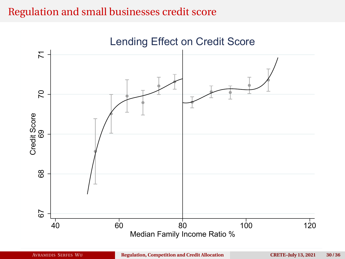## Regulation and small businesses credit score

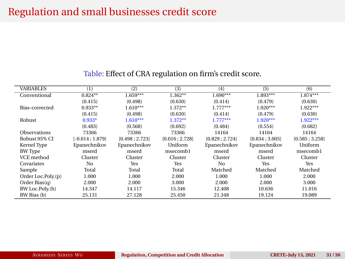## Regulation and small businesses credit score

| <b>VARIABLES</b>   | $\left(1\right)$ | (2)           | (3)            | (4)            | (5)           | (6)           |
|--------------------|------------------|---------------|----------------|----------------|---------------|---------------|
| Conventional       | $0.824**$        | $1.659***$    | $1.362**$      | $1.690***$     | $1.893***$    | $1.874***$    |
|                    | (0.415)          | (0.498)       | (0.630)        | (0.414)        | (0.479)       | (0.630)       |
| Bias-corrected     | $0.933**$        | $1.610***$    | $1.372**$      | $1.777***$     | $1.920***$    | $1.922***$    |
|                    | (0.415)          | (0.498)       | (0.630)        | (0.414)        | (0.479)       | (0.630)       |
| Robust             | $0.933*$         | $1.610***$    | $1.372**$      | $1.777***$     | $1.920***$    | $1.922***$    |
|                    | (0.483)          | (0.568)       | (0.692)        | (0.484)        | (0.554)       | (0.682)       |
| Observations       | 73366            | 73366         | 73366          | 14164          | 14164         | 14164         |
| Robust 95% CI      | $[-0.014:1.879]$ | [0.498:2.723] | [0.016; 2.728] | [0.829; 2.724] | [0.834:3.005] | [0.585:3.258] |
| Kernel Type        | Epanechnikov     | Epanechnikov  | Uniform        | Epanechnikov   | Epanechnikov  | Uniform       |
| <b>BW</b> Type     | mserd            | mserd         | msecombl       | mserd          | mserd         | msecomb1      |
| VCE method         | Cluster          | Cluster       | Cluster        | Cluster        | Cluster       | Cluster       |
| Covariates         | No               | Yes           | Yes            | No             | Yes           | Yes           |
| Sample             | Total            | Total         | Total          | Matched        | Matched       | Matched       |
| Order Loc.Poly.(p) | 1.000            | 1.000         | 2.000          | 1.000          | 1.000         | 2.000         |
| Order Bias(q)      | 2.000            | 2.000         | 3.000          | 2.000          | 2.000         | 3.000         |
| BW Loc.Poly.(h)    | 14.347           | 14.117        | 15.346         | 12.408         | 10.636        | 11.016        |
| BW Bias (b)        | 25.131           | 27.128        | 25.450         | 21.348         | 19.124        | 19.089        |

#### Table: Effect of CRA regulation on firm's credit score.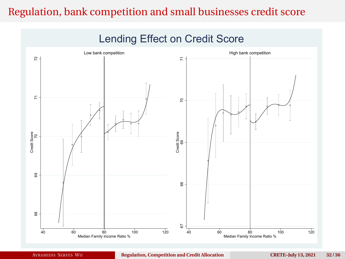# Regulation, bank competition and small businesses credit score

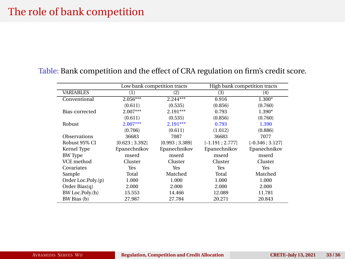## The role of bank competition

|                     | Low bank competition tracts |                | High bank competition tracts |                   |  |
|---------------------|-----------------------------|----------------|------------------------------|-------------------|--|
| <b>VARIABLES</b>    | (1)                         | (2)            | (3)                          | (4)               |  |
| Conventional        | $2.056***$                  | $2.244***$     | 0.916                        | $1.300*$          |  |
|                     | (0.611)                     | (0.535)        | (0.856)                      | (0.760)           |  |
| Bias-corrected      | $2.007***$                  | $2.191***$     | 0.793                        | 1.390*            |  |
|                     | (0.611)                     | (0.535)        | (0.856)                      | (0.760)           |  |
| Robust              | $2.007***$                  | $2.191***$     | 0.793                        | 1.390             |  |
|                     | (0.706)                     | (0.611)        | (1.012)                      | (0.886)           |  |
| <b>Observations</b> | 36683                       | 7087           | 36683                        | 7077              |  |
| Robust 95% CI       | [0.623; 3.392]              | [0.993; 3.389] | $[-1.191; 2.777]$            | $[-0.346; 3.127]$ |  |
| Kernel Type         | Epanechnikov                | Epanechnikov   | Epanechnikov                 | Epanechnikov      |  |
| BW Type             | mserd                       | mserd          | mserd                        | mserd             |  |
| VCE method          | Cluster                     | Cluster        | Cluster                      | Cluster           |  |
| Covariates          | Yes                         | Yes            | Yes                          | Yes               |  |
| Sample              | Total                       | Matched        | Total                        | Matched           |  |
| Order Loc.Poly.(p)  | 1.000                       | 1.000          | 1.000                        | 1.000             |  |
| Order Bias $(q)$    | 2.000                       | 2.000          | 2.000                        | 2.000             |  |
| BW Loc.Poly.(h)     | 15.553                      | 14.466         | 12.089                       | 11.781            |  |
| BW Bias (b)         | 27.987                      | 27.784         | 20.271                       | 20.843            |  |

#### Table: Bank competition and the effect of CRA regulation on firm's credit score.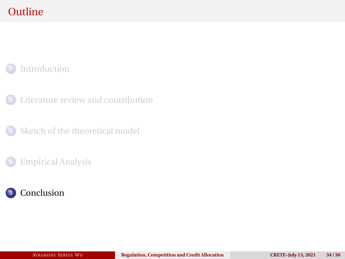# <span id="page-33-0"></span>**Outline**

### [Introduction](#page-1-0)

[Literature review and contribution](#page-8-0)

[Sketch of the theoretical model](#page-11-0)

#### [Empirical Analysis](#page-25-0)

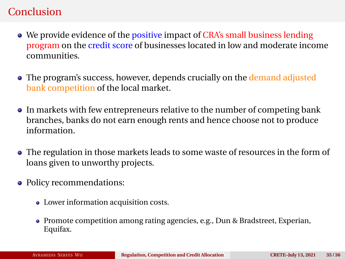## Conclusion

- We provide evidence of the positive impact of CRA's small business lending program on the credit score of businesses located in low and moderate income communities.
- The program's success, however, depends crucially on the demand adjusted bank competition of the local market.
- In markets with few entrepreneurs relative to the number of competing bank branches, banks do not earn enough rents and hence choose not to produce information.
- The regulation in those markets leads to some waste of resources in the form of loans given to unworthy projects.
- Policy recommendations:
	- Lower information acquisition costs.
	- Promote competition among rating agencies, e.g., Dun & Bradstreet, Experian, Equifax.